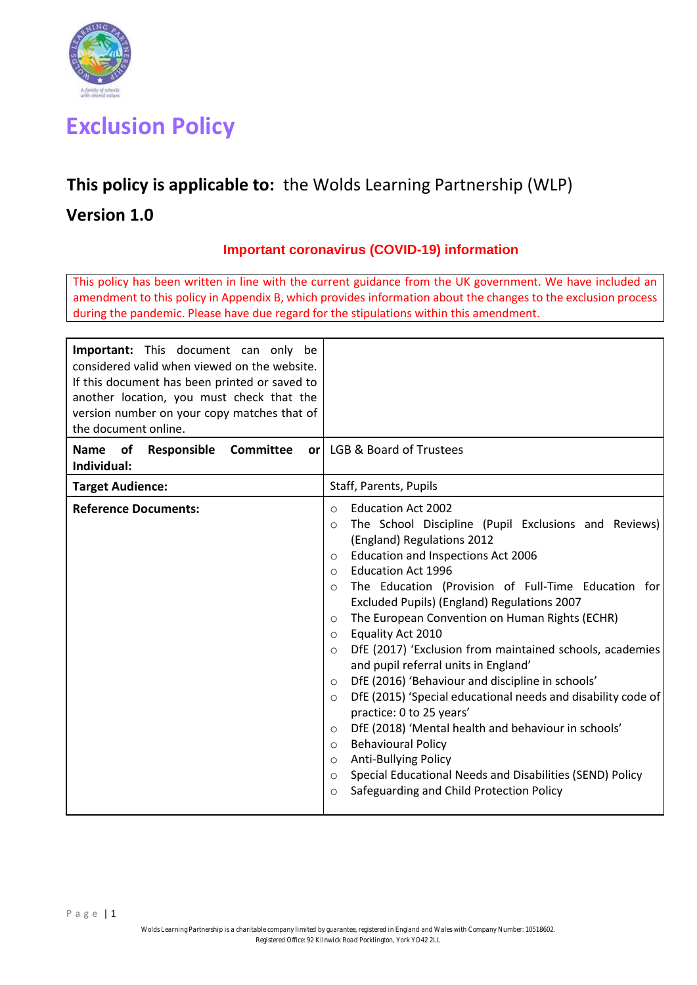

# **Exclusion Policy**

## **This policy is applicable to:** the Wolds Learning Partnership (WLP)

## **Version 1.0**

## **Important coronavirus (COVID-19) information**

This policy has been written in line with the current guidance from the UK government. We have included an amendment to this policy in Appendix B, which provides information about the changes to the exclusion process during the pandemic. Please have due regard for the stipulations within this amendment.

| <b>Important:</b> This document can only be<br>considered valid when viewed on the website.<br>If this document has been printed or saved to<br>another location, you must check that the<br>version number on your copy matches that of<br>the document online. |                                                                                                                                                                                                                                                                                                                                                                                                                                                                                                                                                                                                                                                                                                                                                                                                                                                                                                                                                                                                                  |
|------------------------------------------------------------------------------------------------------------------------------------------------------------------------------------------------------------------------------------------------------------------|------------------------------------------------------------------------------------------------------------------------------------------------------------------------------------------------------------------------------------------------------------------------------------------------------------------------------------------------------------------------------------------------------------------------------------------------------------------------------------------------------------------------------------------------------------------------------------------------------------------------------------------------------------------------------------------------------------------------------------------------------------------------------------------------------------------------------------------------------------------------------------------------------------------------------------------------------------------------------------------------------------------|
| Name of<br>Responsible<br><b>Committee</b><br>Individual:                                                                                                                                                                                                        | or   LGB & Board of Trustees                                                                                                                                                                                                                                                                                                                                                                                                                                                                                                                                                                                                                                                                                                                                                                                                                                                                                                                                                                                     |
| <b>Target Audience:</b>                                                                                                                                                                                                                                          | Staff, Parents, Pupils                                                                                                                                                                                                                                                                                                                                                                                                                                                                                                                                                                                                                                                                                                                                                                                                                                                                                                                                                                                           |
| <b>Reference Documents:</b>                                                                                                                                                                                                                                      | <b>Education Act 2002</b><br>$\circ$<br>The School Discipline (Pupil Exclusions and Reviews)<br>$\circ$<br>(England) Regulations 2012<br>Education and Inspections Act 2006<br>$\circ$<br><b>Education Act 1996</b><br>$\circ$<br>The Education (Provision of Full-Time Education for<br>$\circ$<br>Excluded Pupils) (England) Regulations 2007<br>The European Convention on Human Rights (ECHR)<br>$\circ$<br>Equality Act 2010<br>$\circ$<br>DfE (2017) 'Exclusion from maintained schools, academies<br>$\bigcirc$<br>and pupil referral units in England'<br>DfE (2016) 'Behaviour and discipline in schools'<br>$\circ$<br>DfE (2015) 'Special educational needs and disability code of<br>$\circ$<br>practice: 0 to 25 years'<br>DfE (2018) 'Mental health and behaviour in schools'<br>$\circ$<br><b>Behavioural Policy</b><br>$\circ$<br><b>Anti-Bullying Policy</b><br>$\circ$<br>Special Educational Needs and Disabilities (SEND) Policy<br>$\circ$<br>Safeguarding and Child Protection Policy<br>O |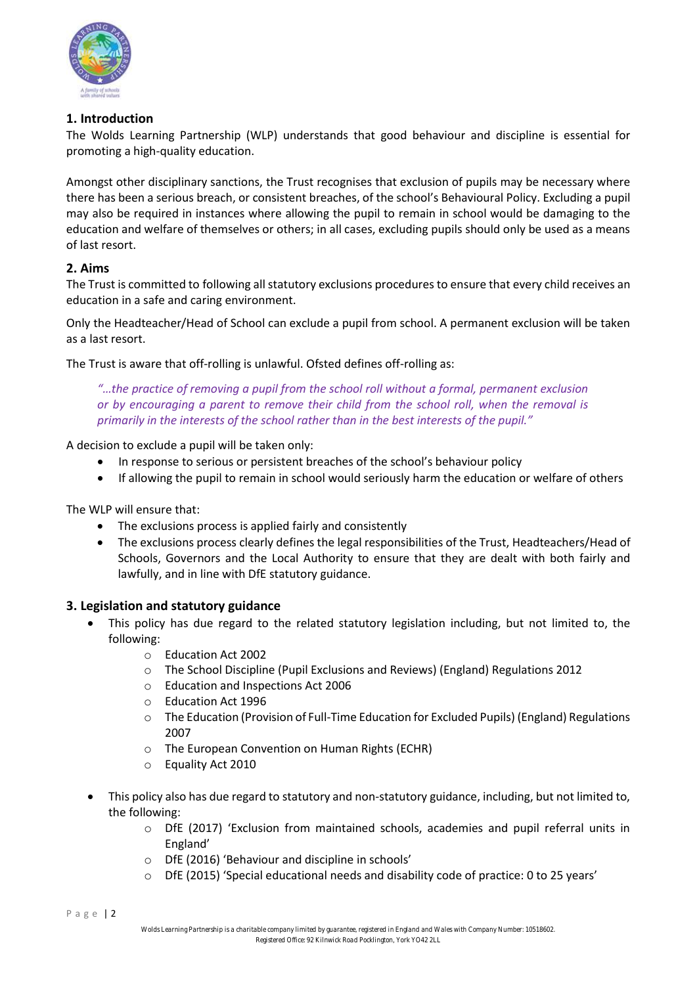

## **1. Introduction**

The Wolds Learning Partnership (WLP) understands that good behaviour and discipline is essential for promoting a high-quality education.

Amongst other disciplinary sanctions, the Trust recognises that exclusion of pupils may be necessary where there has been a serious breach, or consistent breaches, of the school's Behavioural Policy. Excluding a pupil may also be required in instances where allowing the pupil to remain in school would be damaging to the education and welfare of themselves or others; in all cases, excluding pupils should only be used as a means of last resort.

## **2. Aims**

The Trust is committed to following all statutory exclusions procedures to ensure that every child receives an education in a safe and caring environment.

Only the Headteacher/Head of School can exclude a pupil from school. A permanent exclusion will be taken as a last resort.

The Trust is aware that off-rolling is unlawful. Ofsted defines off-rolling as:

*"…the practice of removing a pupil from the school roll without a formal, permanent exclusion or by encouraging a parent to remove their child from the school roll, when the removal is primarily in the interests of the school rather than in the best interests of the pupil."*

A decision to exclude a pupil will be taken only:

- In response to serious or persistent breaches of the school's behaviour policy
- If allowing the pupil to remain in school would seriously harm the education or welfare of others

The WLP will ensure that:

- The exclusions process is applied fairly and consistently
- The exclusions process clearly defines the legal responsibilities of the Trust, Headteachers/Head of Schools, Governors and the Local Authority to ensure that they are dealt with both fairly and lawfully, and in line with DfE statutory guidance.

## **3. Legislation and statutory guidance**

- This policy has due regard to the related statutory legislation including, but not limited to, the following:
	- o Education Act 2002
	- o The School Discipline (Pupil Exclusions and Reviews) (England) Regulations 2012
	- o Education and Inspections Act 2006
	- o Education Act 1996
	- o The Education (Provision of Full-Time Education for Excluded Pupils) (England) Regulations 2007
	- o The European Convention on Human Rights (ECHR)
	- o Equality Act 2010
- This policy also has due regard to statutory and non-statutory guidance, including, but not limited to, the following:
	- $\circ$  DfE (2017) 'Exclusion from maintained schools, academies and pupil referral units in England'
	- o DfE (2016) 'Behaviour and discipline in schools'
	- o DfE (2015) 'Special educational needs and disability code of practice: 0 to 25 years'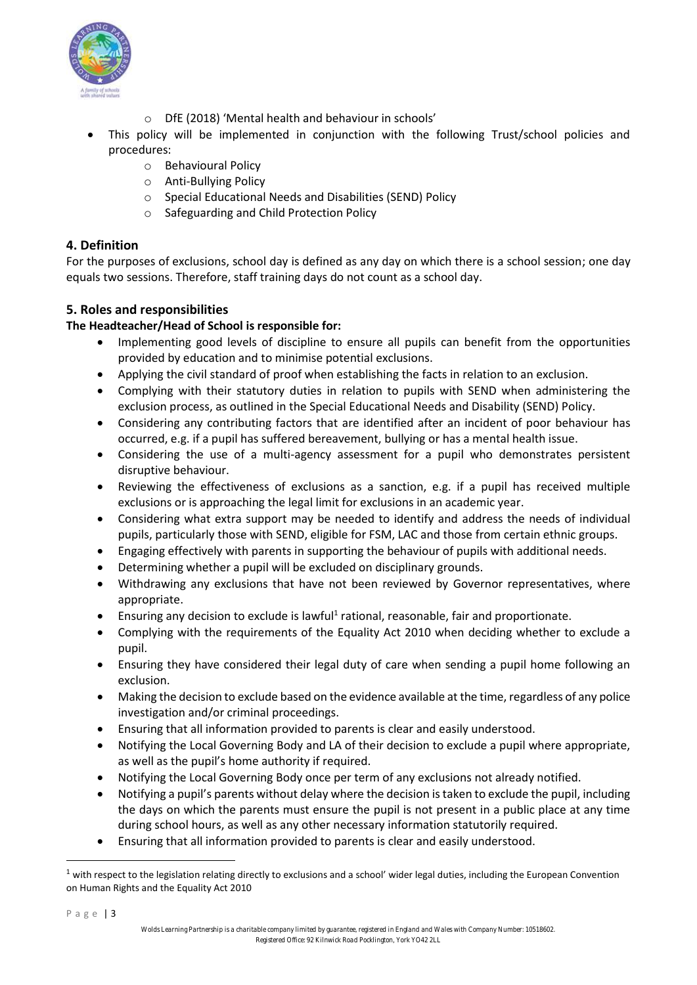

- o DfE (2018) 'Mental health and behaviour in schools'
- This policy will be implemented in conjunction with the following Trust/school policies and procedures:
	- o Behavioural Policy
	- o Anti-Bullying Policy
	- o Special Educational Needs and Disabilities (SEND) Policy
	- o Safeguarding and Child Protection Policy

## **4. Definition**

For the purposes of exclusions, school day is defined as any day on which there is a school session; one day equals two sessions. Therefore, staff training days do not count as a school day.

## **5. Roles and responsibilities**

## **The Headteacher/Head of School is responsible for:**

- Implementing good levels of discipline to ensure all pupils can benefit from the opportunities provided by education and to minimise potential exclusions.
- Applying the civil standard of proof when establishing the facts in relation to an exclusion.
- Complying with their statutory duties in relation to pupils with SEND when administering the exclusion process, as outlined in the Special Educational Needs and Disability (SEND) Policy.
- Considering any contributing factors that are identified after an incident of poor behaviour has occurred, e.g. if a pupil has suffered bereavement, bullying or has a mental health issue.
- Considering the use of a multi-agency assessment for a pupil who demonstrates persistent disruptive behaviour.
- Reviewing the effectiveness of exclusions as a sanction, e.g. if a pupil has received multiple exclusions or is approaching the legal limit for exclusions in an academic year.
- Considering what extra support may be needed to identify and address the needs of individual pupils, particularly those with SEND, eligible for FSM, LAC and those from certain ethnic groups.
- Engaging effectively with parents in supporting the behaviour of pupils with additional needs.
- Determining whether a pupil will be excluded on disciplinary grounds.
- Withdrawing any exclusions that have not been reviewed by Governor representatives, where appropriate.
- Ensuring any decision to exclude is lawful<sup>1</sup> rational, reasonable, fair and proportionate.
- Complying with the requirements of the Equality Act 2010 when deciding whether to exclude a pupil.
- Ensuring they have considered their legal duty of care when sending a pupil home following an exclusion.
- Making the decision to exclude based on the evidence available at the time, regardless of any police investigation and/or criminal proceedings.
- Ensuring that all information provided to parents is clear and easily understood.
- Notifying the Local Governing Body and LA of their decision to exclude a pupil where appropriate, as well as the pupil's home authority if required.
- Notifying the Local Governing Body once per term of any exclusions not already notified.
- Notifying a pupil's parents without delay where the decision is taken to exclude the pupil, including the days on which the parents must ensure the pupil is not present in a public place at any time during school hours, as well as any other necessary information statutorily required.
- Ensuring that all information provided to parents is clear and easily understood.

 $\overline{a}$ 

 $1$  with respect to the legislation relating directly to exclusions and a school' wider legal duties, including the European Convention on Human Rights and the Equality Act 2010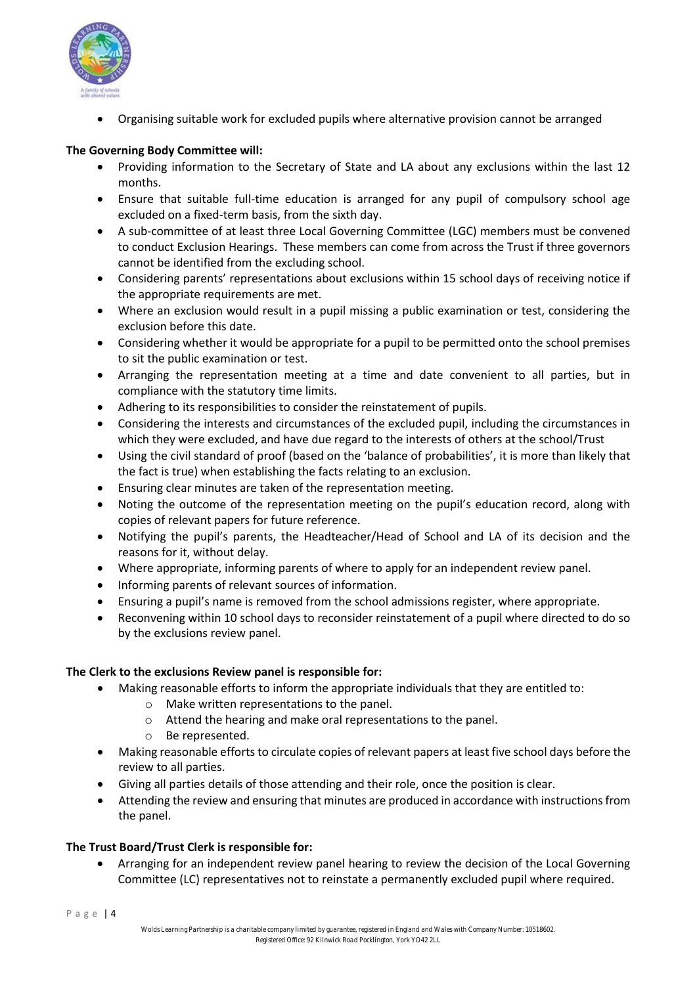

• Organising suitable work for excluded pupils where alternative provision cannot be arranged

## **The Governing Body Committee will:**

- Providing information to the Secretary of State and LA about any exclusions within the last 12 months.
- Ensure that suitable full-time education is arranged for any pupil of compulsory school age excluded on a fixed-term basis, from the sixth day.
- A sub-committee of at least three Local Governing Committee (LGC) members must be convened to conduct Exclusion Hearings. These members can come from across the Trust if three governors cannot be identified from the excluding school.
- Considering parents' representations about exclusions within 15 school days of receiving notice if the appropriate requirements are met.
- Where an exclusion would result in a pupil missing a public examination or test, considering the exclusion before this date.
- Considering whether it would be appropriate for a pupil to be permitted onto the school premises to sit the public examination or test.
- Arranging the representation meeting at a time and date convenient to all parties, but in compliance with the statutory time limits.
- Adhering to its responsibilities to consider the reinstatement of pupils.
- Considering the interests and circumstances of the excluded pupil, including the circumstances in which they were excluded, and have due regard to the interests of others at the school/Trust
- Using the civil standard of proof (based on the 'balance of probabilities', it is more than likely that the fact is true) when establishing the facts relating to an exclusion.
- Ensuring clear minutes are taken of the representation meeting.
- Noting the outcome of the representation meeting on the pupil's education record, along with copies of relevant papers for future reference.
- Notifying the pupil's parents, the Headteacher/Head of School and LA of its decision and the reasons for it, without delay.
- Where appropriate, informing parents of where to apply for an independent review panel.
- Informing parents of relevant sources of information.
- Ensuring a pupil's name is removed from the school admissions register, where appropriate.
- Reconvening within 10 school days to reconsider reinstatement of a pupil where directed to do so by the exclusions review panel.

## **The Clerk to the exclusions Review panel is responsible for:**

- Making reasonable efforts to inform the appropriate individuals that they are entitled to:
	- o Make written representations to the panel.
	- o Attend the hearing and make oral representations to the panel.
		- Be represented.
- Making reasonable efforts to circulate copies of relevant papers at least five school days before the review to all parties.
- Giving all parties details of those attending and their role, once the position is clear.
- Attending the review and ensuring that minutes are produced in accordance with instructions from the panel.

## **The Trust Board/Trust Clerk is responsible for:**

• Arranging for an independent review panel hearing to review the decision of the Local Governing Committee (LC) representatives not to reinstate a permanently excluded pupil where required.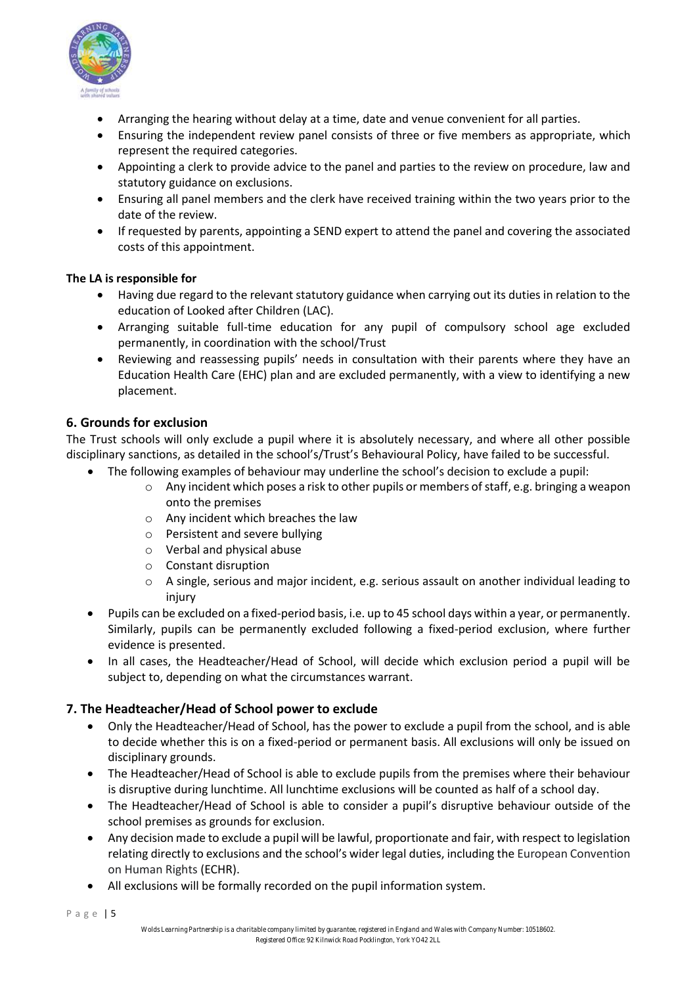

- Arranging the hearing without delay at a time, date and venue convenient for all parties.
- Ensuring the independent review panel consists of three or five members as appropriate, which represent the required categories.
- Appointing a clerk to provide advice to the panel and parties to the review on procedure, law and statutory guidance on exclusions.
- Ensuring all panel members and the clerk have received training within the two years prior to the date of the review.
- If requested by parents, appointing a SEND expert to attend the panel and covering the associated costs of this appointment.

## **The LA is responsible for**

- Having due regard to the relevant statutory guidance when carrying out its duties in relation to the education of Looked after Children (LAC).
- Arranging suitable full-time education for any pupil of compulsory school age excluded permanently, in coordination with the school/Trust
- Reviewing and reassessing pupils' needs in consultation with their parents where they have an Education Health Care (EHC) plan and are excluded permanently, with a view to identifying a new placement.

## **6. Grounds for exclusion**

The Trust schools will only exclude a pupil where it is absolutely necessary, and where all other possible disciplinary sanctions, as detailed in the school's/Trust's Behavioural Policy, have failed to be successful.

- The following examples of behaviour may underline the school's decision to exclude a pupil:
	- $\circ$  Any incident which poses a risk to other pupils or members of staff, e.g. bringing a weapon onto the premises
	- o Any incident which breaches the law
	- o Persistent and severe bullying
	- o Verbal and physical abuse
	- o Constant disruption
	- $\circ$  A single, serious and major incident, e.g. serious assault on another individual leading to injury
- Pupils can be excluded on a fixed-period basis, i.e. up to 45 school days within a year, or permanently. Similarly, pupils can be permanently excluded following a fixed-period exclusion, where further evidence is presented.
- In all cases, the Headteacher/Head of School, will decide which exclusion period a pupil will be subject to, depending on what the circumstances warrant.

## **7. The Headteacher/Head of School power to exclude**

- Only the Headteacher/Head of School, has the power to exclude a pupil from the school, and is able to decide whether this is on a fixed-period or permanent basis. All exclusions will only be issued on disciplinary grounds.
- The Headteacher/Head of School is able to exclude pupils from the premises where their behaviour is disruptive during lunchtime. All lunchtime exclusions will be counted as half of a school day.
- The Headteacher/Head of School is able to consider a pupil's disruptive behaviour outside of the school premises as grounds for exclusion.
- Any decision made to exclude a pupil will be lawful, proportionate and fair, with respect to legislation relating directly to exclusions and the school's wider legal duties, including the European Convention on Human Rights (ECHR).
- All exclusions will be formally recorded on the pupil information system.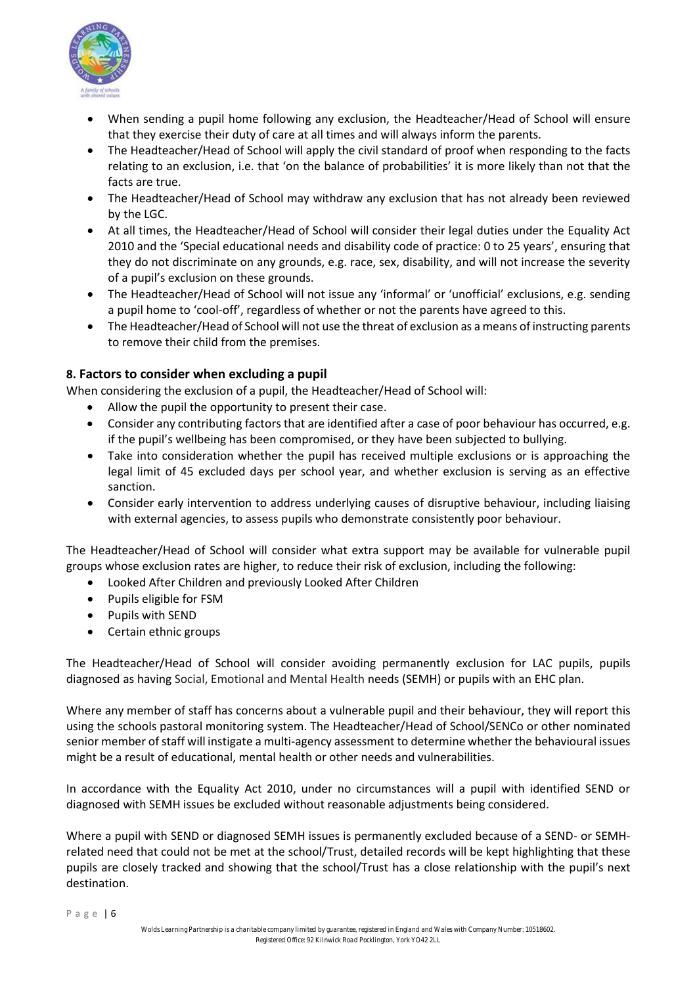

- When sending a pupil home following any exclusion, the Headteacher/Head of School will ensure that they exercise their duty of care at all times and will always inform the parents.
- The Headteacher/Head of School will apply the civil standard of proof when responding to the facts relating to an exclusion, i.e. that 'on the balance of probabilities' it is more likely than not that the facts are true.
- The Headteacher/Head of School may withdraw any exclusion that has not already been reviewed by the LGC.
- At all times, the Headteacher/Head of School will consider their legal duties under the Equality Act 2010 and the 'Special educational needs and disability code of practice: 0 to 25 years', ensuring that they do not discriminate on any grounds, e.g. race, sex, disability, and will not increase the severity of a pupil's exclusion on these grounds.
- The Headteacher/Head of School will not issue any 'informal' or 'unofficial' exclusions, e.g. sending a pupil home to 'cool-off', regardless of whether or not the parents have agreed to this.
- The Headteacher/Head of School will not use the threat of exclusion as a means of instructing parents to remove their child from the premises.

## **8. Factors to consider when excluding a pupil**

When considering the exclusion of a pupil, the Headteacher/Head of School will:

- Allow the pupil the opportunity to present their case.
- Consider any contributing factors that are identified after a case of poor behaviour has occurred, e.g. if the pupil's wellbeing has been compromised, or they have been subjected to bullying.
- Take into consideration whether the pupil has received multiple exclusions or is approaching the legal limit of 45 excluded days per school year, and whether exclusion is serving as an effective sanction.
- Consider early intervention to address underlying causes of disruptive behaviour, including liaising with external agencies, to assess pupils who demonstrate consistently poor behaviour.

The Headteacher/Head of School will consider what extra support may be available for vulnerable pupil groups whose exclusion rates are higher, to reduce their risk of exclusion, including the following:

- Looked After Children and previously Looked After Children
- Pupils eligible for FSM
- Pupils with SEND
- Certain ethnic groups

The Headteacher/Head of School will consider avoiding permanently exclusion for LAC pupils, pupils diagnosed as having Social, Emotional and Mental Health needs (SEMH) or pupils with an EHC plan.

Where any member of staff has concerns about a vulnerable pupil and their behaviour, they will report this using the schools pastoral monitoring system. The Headteacher/Head of School/SENCo or other nominated senior member of staff will instigate a multi-agency assessment to determine whether the behavioural issues might be a result of educational, mental health or other needs and vulnerabilities.

In accordance with the Equality Act 2010, under no circumstances will a pupil with identified SEND or diagnosed with SEMH issues be excluded without reasonable adjustments being considered.

Where a pupil with SEND or diagnosed SEMH issues is permanently excluded because of a SEND- or SEMHrelated need that could not be met at the school/Trust, detailed records will be kept highlighting that these pupils are closely tracked and showing that the school/Trust has a close relationship with the pupil's next destination.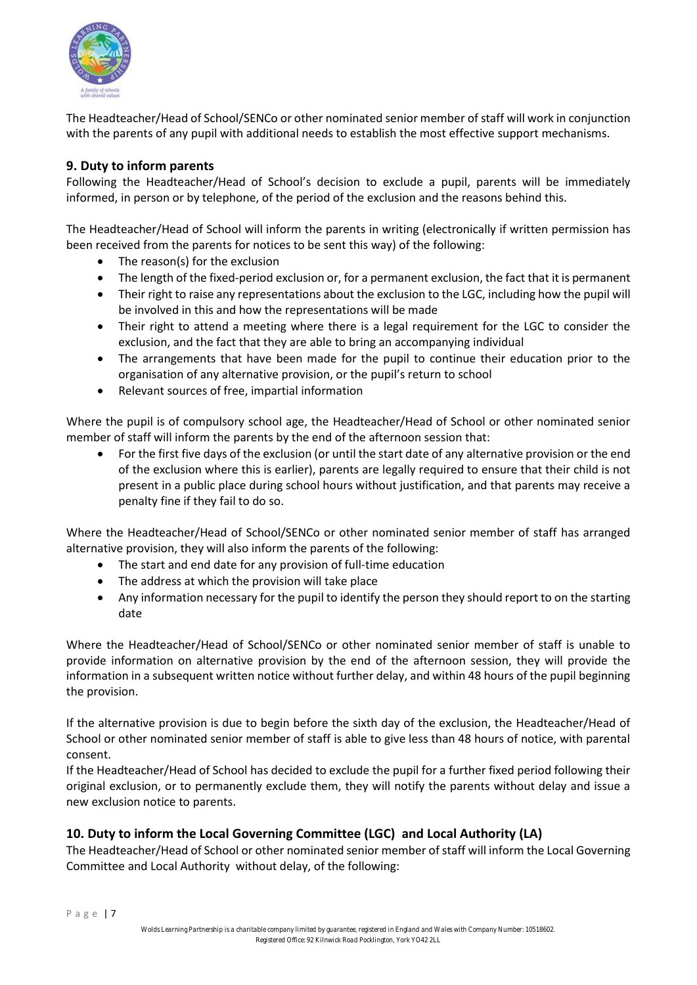

The Headteacher/Head of School/SENCo or other nominated senior member of staff will work in conjunction with the parents of any pupil with additional needs to establish the most effective support mechanisms.

## **9. Duty to inform parents**

Following the Headteacher/Head of School's decision to exclude a pupil, parents will be immediately informed, in person or by telephone, of the period of the exclusion and the reasons behind this.

The Headteacher/Head of School will inform the parents in writing (electronically if written permission has been received from the parents for notices to be sent this way) of the following:

- The reason(s) for the exclusion
- The length of the fixed-period exclusion or, for a permanent exclusion, the fact that it is permanent
- Their right to raise any representations about the exclusion to the LGC, including how the pupil will be involved in this and how the representations will be made
- Their right to attend a meeting where there is a legal requirement for the LGC to consider the exclusion, and the fact that they are able to bring an accompanying individual
- The arrangements that have been made for the pupil to continue their education prior to the organisation of any alternative provision, or the pupil's return to school
- Relevant sources of free, impartial information

Where the pupil is of compulsory school age, the Headteacher/Head of School or other nominated senior member of staff will inform the parents by the end of the afternoon session that:

• For the first five days of the exclusion (or until the start date of any alternative provision or the end of the exclusion where this is earlier), parents are legally required to ensure that their child is not present in a public place during school hours without justification, and that parents may receive a penalty fine if they fail to do so.

Where the Headteacher/Head of School/SENCo or other nominated senior member of staff has arranged alternative provision, they will also inform the parents of the following:

- The start and end date for any provision of full-time education
- The address at which the provision will take place
- Any information necessary for the pupil to identify the person they should report to on the starting date

Where the Headteacher/Head of School/SENCo or other nominated senior member of staff is unable to provide information on alternative provision by the end of the afternoon session, they will provide the information in a subsequent written notice without further delay, and within 48 hours of the pupil beginning the provision.

If the alternative provision is due to begin before the sixth day of the exclusion, the Headteacher/Head of School or other nominated senior member of staff is able to give less than 48 hours of notice, with parental consent.

If the Headteacher/Head of School has decided to exclude the pupil for a further fixed period following their original exclusion, or to permanently exclude them, they will notify the parents without delay and issue a new exclusion notice to parents.

## **10. Duty to inform the Local Governing Committee (LGC) and Local Authority (LA)**

The Headteacher/Head of School or other nominated senior member of staff will inform the Local Governing Committee and Local Authority without delay, of the following: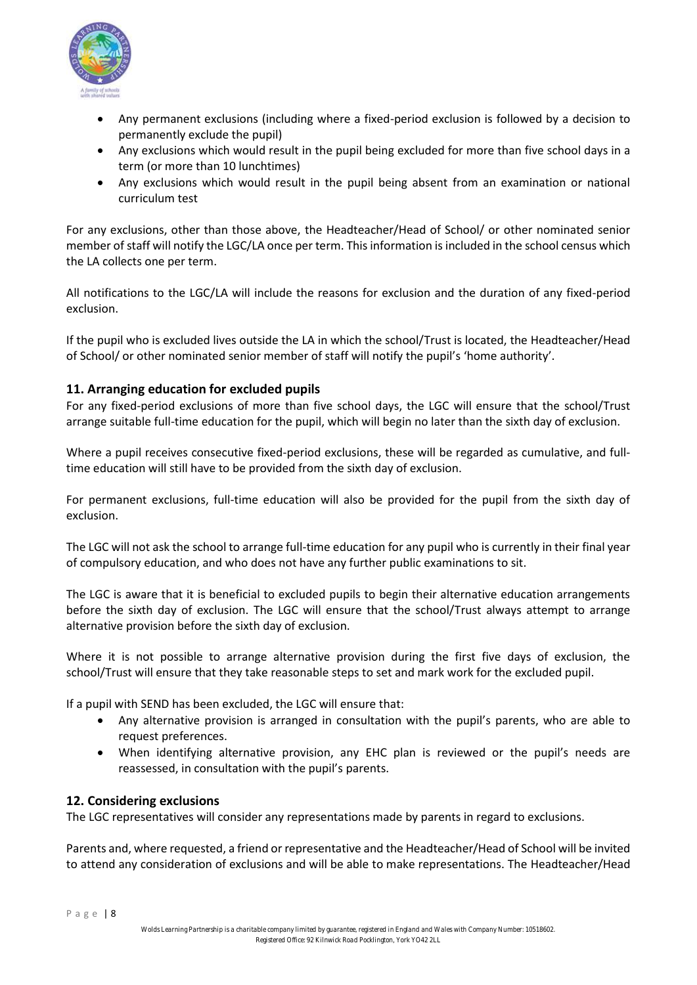

- Any permanent exclusions (including where a fixed-period exclusion is followed by a decision to permanently exclude the pupil)
- Any exclusions which would result in the pupil being excluded for more than five school days in a term (or more than 10 lunchtimes)
- Any exclusions which would result in the pupil being absent from an examination or national curriculum test

For any exclusions, other than those above, the Headteacher/Head of School/ or other nominated senior member of staff will notify the LGC/LA once per term. This information is included in the school census which the LA collects one per term.

All notifications to the LGC/LA will include the reasons for exclusion and the duration of any fixed-period exclusion.

If the pupil who is excluded lives outside the LA in which the school/Trust is located, the Headteacher/Head of School/ or other nominated senior member of staff will notify the pupil's 'home authority'.

## **11. Arranging education for excluded pupils**

For any fixed-period exclusions of more than five school days, the LGC will ensure that the school/Trust arrange suitable full-time education for the pupil, which will begin no later than the sixth day of exclusion.

Where a pupil receives consecutive fixed-period exclusions, these will be regarded as cumulative, and fulltime education will still have to be provided from the sixth day of exclusion.

For permanent exclusions, full-time education will also be provided for the pupil from the sixth day of exclusion.

The LGC will not ask the school to arrange full-time education for any pupil who is currently in their final year of compulsory education, and who does not have any further public examinations to sit.

The LGC is aware that it is beneficial to excluded pupils to begin their alternative education arrangements before the sixth day of exclusion. The LGC will ensure that the school/Trust always attempt to arrange alternative provision before the sixth day of exclusion.

Where it is not possible to arrange alternative provision during the first five days of exclusion, the school/Trust will ensure that they take reasonable steps to set and mark work for the excluded pupil.

If a pupil with SEND has been excluded, the LGC will ensure that:

- Any alternative provision is arranged in consultation with the pupil's parents, who are able to request preferences.
- When identifying alternative provision, any EHC plan is reviewed or the pupil's needs are reassessed, in consultation with the pupil's parents.

## **12. Considering exclusions**

The LGC representatives will consider any representations made by parents in regard to exclusions.

Parents and, where requested, a friend or representative and the Headteacher/Head of School will be invited to attend any consideration of exclusions and will be able to make representations. The Headteacher/Head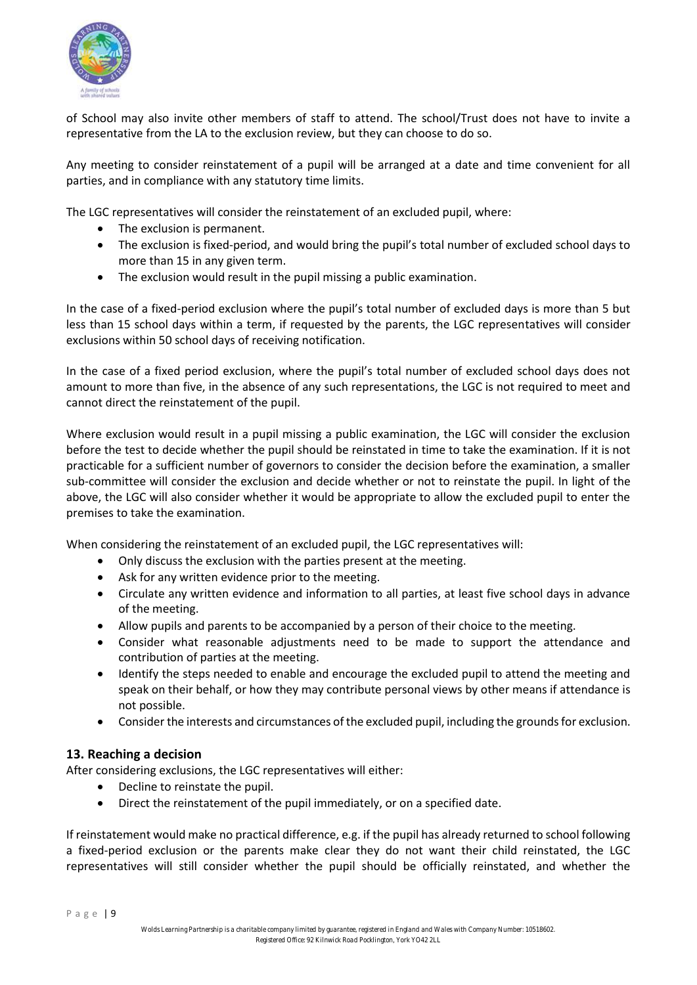

of School may also invite other members of staff to attend. The school/Trust does not have to invite a representative from the LA to the exclusion review, but they can choose to do so.

Any meeting to consider reinstatement of a pupil will be arranged at a date and time convenient for all parties, and in compliance with any statutory time limits.

The LGC representatives will consider the reinstatement of an excluded pupil, where:

- The exclusion is permanent.
- The exclusion is fixed-period, and would bring the pupil's total number of excluded school days to more than 15 in any given term.
- The exclusion would result in the pupil missing a public examination.

In the case of a fixed-period exclusion where the pupil's total number of excluded days is more than 5 but less than 15 school days within a term, if requested by the parents, the LGC representatives will consider exclusions within 50 school days of receiving notification.

In the case of a fixed period exclusion, where the pupil's total number of excluded school days does not amount to more than five, in the absence of any such representations, the LGC is not required to meet and cannot direct the reinstatement of the pupil.

Where exclusion would result in a pupil missing a public examination, the LGC will consider the exclusion before the test to decide whether the pupil should be reinstated in time to take the examination. If it is not practicable for a sufficient number of governors to consider the decision before the examination, a smaller sub-committee will consider the exclusion and decide whether or not to reinstate the pupil. In light of the above, the LGC will also consider whether it would be appropriate to allow the excluded pupil to enter the premises to take the examination.

When considering the reinstatement of an excluded pupil, the LGC representatives will:

- Only discuss the exclusion with the parties present at the meeting.
- Ask for any written evidence prior to the meeting.
- Circulate any written evidence and information to all parties, at least five school days in advance of the meeting.
- Allow pupils and parents to be accompanied by a person of their choice to the meeting.
- Consider what reasonable adjustments need to be made to support the attendance and contribution of parties at the meeting.
- Identify the steps needed to enable and encourage the excluded pupil to attend the meeting and speak on their behalf, or how they may contribute personal views by other means if attendance is not possible.
- Consider the interests and circumstances of the excluded pupil, including the grounds for exclusion.

## **13. Reaching a decision**

After considering exclusions, the LGC representatives will either:

- Decline to reinstate the pupil.
- Direct the reinstatement of the pupil immediately, or on a specified date.

If reinstatement would make no practical difference, e.g. if the pupil has already returned to school following a fixed-period exclusion or the parents make clear they do not want their child reinstated, the LGC representatives will still consider whether the pupil should be officially reinstated, and whether the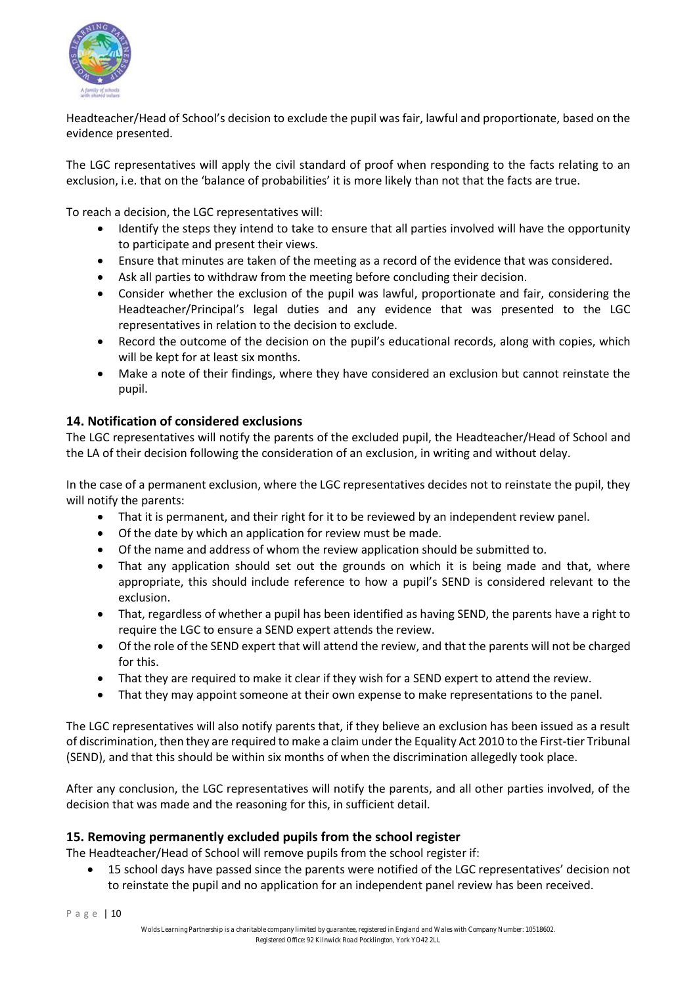

Headteacher/Head of School's decision to exclude the pupil was fair, lawful and proportionate, based on the evidence presented.

The LGC representatives will apply the civil standard of proof when responding to the facts relating to an exclusion, i.e. that on the 'balance of probabilities' it is more likely than not that the facts are true.

To reach a decision, the LGC representatives will:

- Identify the steps they intend to take to ensure that all parties involved will have the opportunity to participate and present their views.
- Ensure that minutes are taken of the meeting as a record of the evidence that was considered.
- Ask all parties to withdraw from the meeting before concluding their decision.
- Consider whether the exclusion of the pupil was lawful, proportionate and fair, considering the Headteacher/Principal's legal duties and any evidence that was presented to the LGC representatives in relation to the decision to exclude.
- Record the outcome of the decision on the pupil's educational records, along with copies, which will be kept for at least six months.
- Make a note of their findings, where they have considered an exclusion but cannot reinstate the pupil.

## **14. Notification of considered exclusions**

The LGC representatives will notify the parents of the excluded pupil, the Headteacher/Head of School and the LA of their decision following the consideration of an exclusion, in writing and without delay.

In the case of a permanent exclusion, where the LGC representatives decides not to reinstate the pupil, they will notify the parents:

- That it is permanent, and their right for it to be reviewed by an independent review panel.
- Of the date by which an application for review must be made.
- Of the name and address of whom the review application should be submitted to.
- That any application should set out the grounds on which it is being made and that, where appropriate, this should include reference to how a pupil's SEND is considered relevant to the exclusion.
- That, regardless of whether a pupil has been identified as having SEND, the parents have a right to require the LGC to ensure a SEND expert attends the review.
- Of the role of the SEND expert that will attend the review, and that the parents will not be charged for this.
- That they are required to make it clear if they wish for a SEND expert to attend the review.
- That they may appoint someone at their own expense to make representations to the panel.

The LGC representatives will also notify parents that, if they believe an exclusion has been issued as a result of discrimination, then they are required to make a claim under the Equality Act 2010 to the First-tier Tribunal (SEND), and that this should be within six months of when the discrimination allegedly took place.

After any conclusion, the LGC representatives will notify the parents, and all other parties involved, of the decision that was made and the reasoning for this, in sufficient detail.

## **15. Removing permanently excluded pupils from the school register**

The Headteacher/Head of School will remove pupils from the school register if:

• 15 school days have passed since the parents were notified of the LGC representatives' decision not to reinstate the pupil and no application for an independent panel review has been received.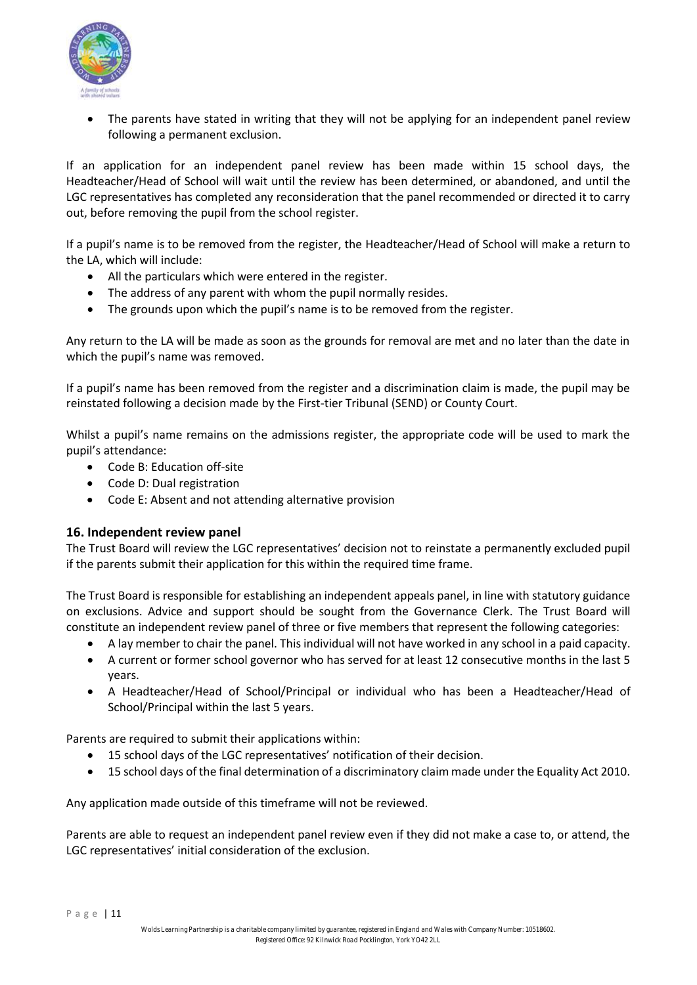

The parents have stated in writing that they will not be applying for an independent panel review following a permanent exclusion.

If an application for an independent panel review has been made within 15 school days, the Headteacher/Head of School will wait until the review has been determined, or abandoned, and until the LGC representatives has completed any reconsideration that the panel recommended or directed it to carry out, before removing the pupil from the school register.

If a pupil's name is to be removed from the register, the Headteacher/Head of School will make a return to the LA, which will include:

- All the particulars which were entered in the register.
- The address of any parent with whom the pupil normally resides.
- The grounds upon which the pupil's name is to be removed from the register.

Any return to the LA will be made as soon as the grounds for removal are met and no later than the date in which the pupil's name was removed.

If a pupil's name has been removed from the register and a discrimination claim is made, the pupil may be reinstated following a decision made by the First-tier Tribunal (SEND) or County Court.

Whilst a pupil's name remains on the admissions register, the appropriate code will be used to mark the pupil's attendance:

- Code B: Education off-site
- Code D: Dual registration
- Code E: Absent and not attending alternative provision

#### **16. Independent review panel**

The Trust Board will review the LGC representatives' decision not to reinstate a permanently excluded pupil if the parents submit their application for this within the required time frame.

The Trust Board is responsible for establishing an independent appeals panel, in line with statutory guidance on exclusions. Advice and support should be sought from the Governance Clerk. The Trust Board will constitute an independent review panel of three or five members that represent the following categories:

- A lay member to chair the panel. This individual will not have worked in any school in a paid capacity.
- A current or former school governor who has served for at least 12 consecutive months in the last 5 years.
- A Headteacher/Head of School/Principal or individual who has been a Headteacher/Head of School/Principal within the last 5 years.

Parents are required to submit their applications within:

- 15 school days of the LGC representatives' notification of their decision.
- 15 school days of the final determination of a discriminatory claim made under the Equality Act 2010.

Any application made outside of this timeframe will not be reviewed.

Parents are able to request an independent panel review even if they did not make a case to, or attend, the LGC representatives' initial consideration of the exclusion.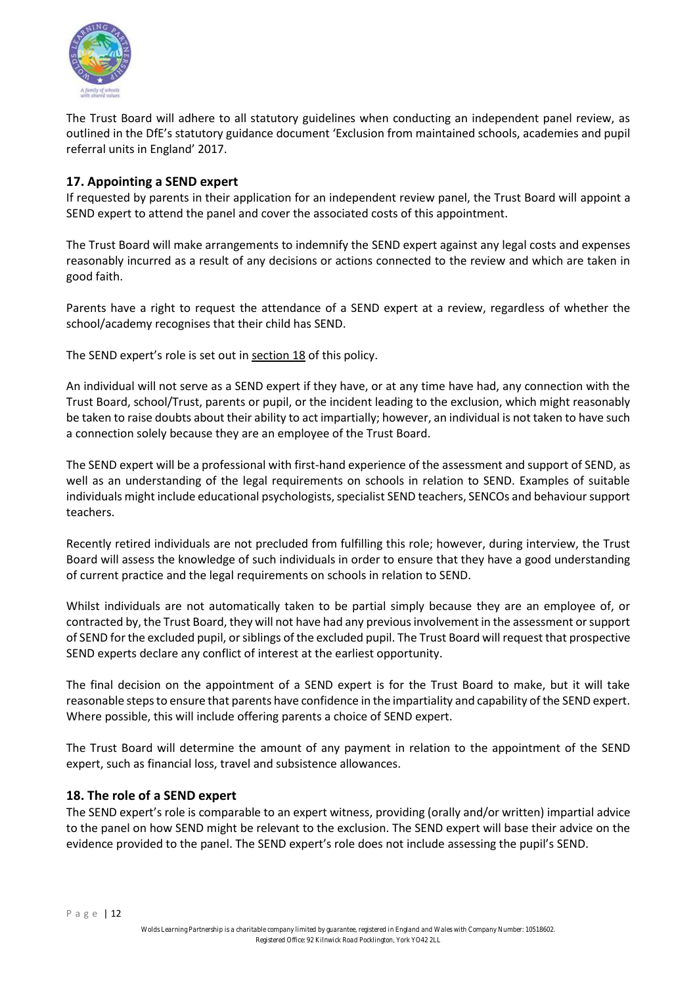

The Trust Board will adhere to all statutory guidelines when conducting an independent panel review, as outlined in the DfE's statutory guidance document 'Exclusion from maintained schools, academies and pupil referral units in England' 2017.

## **17. Appointing a SEND expert**

If requested by parents in their application for an independent review panel, the Trust Board will appoint a SEND expert to attend the panel and cover the associated costs of this appointment.

The Trust Board will make arrangements to indemnify the SEND expert against any legal costs and expenses reasonably incurred as a result of any decisions or actions connected to the review and which are taken in good faith.

Parents have a right to request the attendance of a SEND expert at a review, regardless of whether the school/academy recognises that their child has SEND.

The SEND expert's role is set out in section 18 of this policy.

An individual will not serve as a SEND expert if they have, or at any time have had, any connection with the Trust Board, school/Trust, parents or pupil, or the incident leading to the exclusion, which might reasonably be taken to raise doubts about their ability to act impartially; however, an individual is not taken to have such a connection solely because they are an employee of the Trust Board.

The SEND expert will be a professional with first-hand experience of the assessment and support of SEND, as well as an understanding of the legal requirements on schools in relation to SEND. Examples of suitable individuals might include educational psychologists, specialist SEND teachers, SENCOs and behaviour support teachers.

Recently retired individuals are not precluded from fulfilling this role; however, during interview, the Trust Board will assess the knowledge of such individuals in order to ensure that they have a good understanding of current practice and the legal requirements on schools in relation to SEND.

Whilst individuals are not automatically taken to be partial simply because they are an employee of, or contracted by, the Trust Board, they will not have had any previous involvement in the assessment or support of SEND for the excluded pupil, or siblings of the excluded pupil. The Trust Board will request that prospective SEND experts declare any conflict of interest at the earliest opportunity.

The final decision on the appointment of a SEND expert is for the Trust Board to make, but it will take reasonable steps to ensure that parents have confidence in the impartiality and capability of the SEND expert. Where possible, this will include offering parents a choice of SEND expert.

The Trust Board will determine the amount of any payment in relation to the appointment of the SEND expert, such as financial loss, travel and subsistence allowances.

## **18. The role of a SEND expert**

The SEND expert's role is comparable to an expert witness, providing (orally and/or written) impartial advice to the panel on how SEND might be relevant to the exclusion. The SEND expert will base their advice on the evidence provided to the panel. The SEND expert's role does not include assessing the pupil's SEND.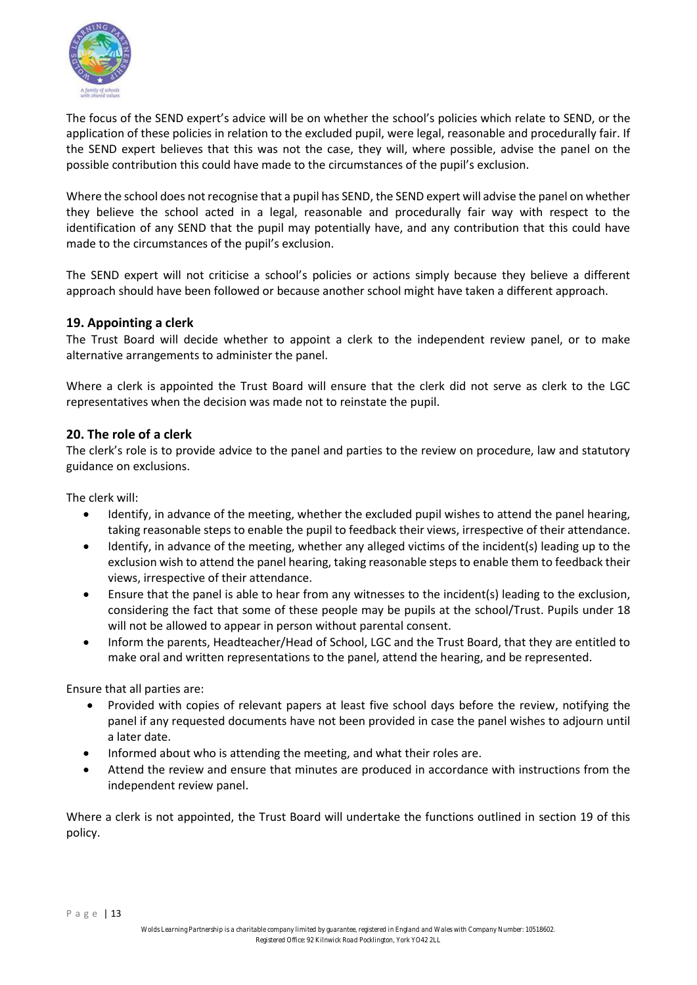

The focus of the SEND expert's advice will be on whether the school's policies which relate to SEND, or the application of these policies in relation to the excluded pupil, were legal, reasonable and procedurally fair. If the SEND expert believes that this was not the case, they will, where possible, advise the panel on the possible contribution this could have made to the circumstances of the pupil's exclusion.

Where the school does not recognise that a pupil has SEND, the SEND expert will advise the panel on whether they believe the school acted in a legal, reasonable and procedurally fair way with respect to the identification of any SEND that the pupil may potentially have, and any contribution that this could have made to the circumstances of the pupil's exclusion.

The SEND expert will not criticise a school's policies or actions simply because they believe a different approach should have been followed or because another school might have taken a different approach.

## **19. Appointing a clerk**

The Trust Board will decide whether to appoint a clerk to the independent review panel, or to make alternative arrangements to administer the panel.

Where a clerk is appointed the Trust Board will ensure that the clerk did not serve as clerk to the LGC representatives when the decision was made not to reinstate the pupil.

#### **20. The role of a clerk**

The clerk's role is to provide advice to the panel and parties to the review on procedure, law and statutory guidance on exclusions.

The clerk will:

- Identify, in advance of the meeting, whether the excluded pupil wishes to attend the panel hearing, taking reasonable steps to enable the pupil to feedback their views, irrespective of their attendance.
- Identify, in advance of the meeting, whether any alleged victims of the incident(s) leading up to the exclusion wish to attend the panel hearing, taking reasonable steps to enable them to feedback their views, irrespective of their attendance.
- Ensure that the panel is able to hear from any witnesses to the incident(s) leading to the exclusion, considering the fact that some of these people may be pupils at the school/Trust. Pupils under 18 will not be allowed to appear in person without parental consent.
- Inform the parents, Headteacher/Head of School, LGC and the Trust Board, that they are entitled to make oral and written representations to the panel, attend the hearing, and be represented.

Ensure that all parties are:

- Provided with copies of relevant papers at least five school days before the review, notifying the panel if any requested documents have not been provided in case the panel wishes to adjourn until a later date.
- Informed about who is attending the meeting, and what their roles are.
- Attend the review and ensure that minutes are produced in accordance with instructions from the independent review panel.

Where a clerk is not appointed, the Trust Board will undertake the functions outlined in section 19 of this policy.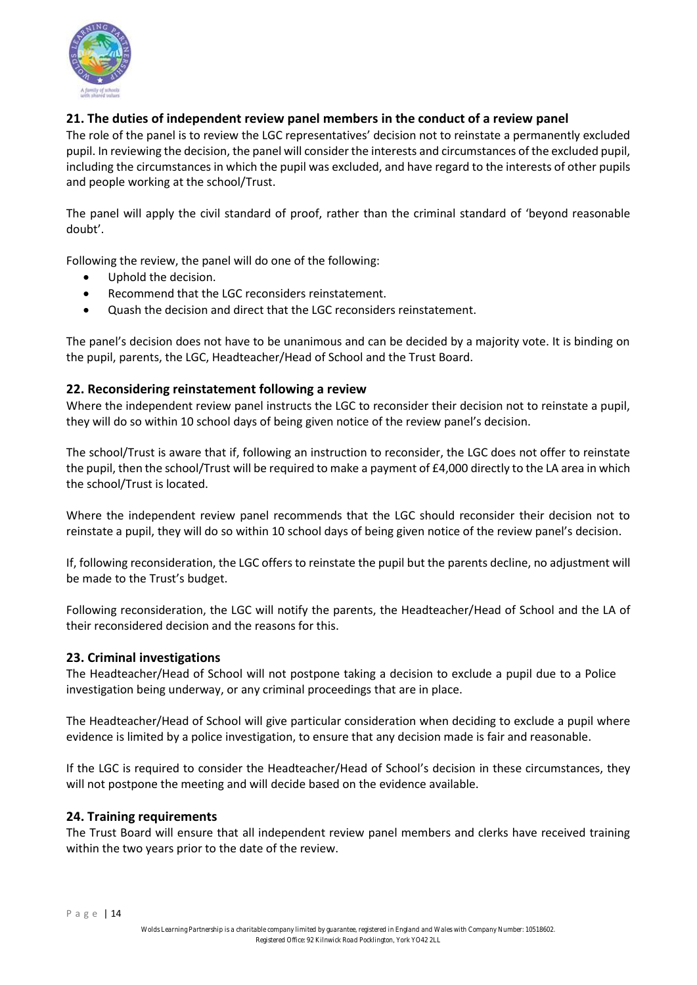

## **21. The duties of independent review panel members in the conduct of a review panel**

The role of the panel is to review the LGC representatives' decision not to reinstate a permanently excluded pupil. In reviewing the decision, the panel will consider the interests and circumstances of the excluded pupil, including the circumstances in which the pupil was excluded, and have regard to the interests of other pupils and people working at the school/Trust.

The panel will apply the civil standard of proof, rather than the criminal standard of 'beyond reasonable doubt'.

Following the review, the panel will do one of the following:

- Uphold the decision.
- Recommend that the LGC reconsiders reinstatement.
- Quash the decision and direct that the LGC reconsiders reinstatement.

The panel's decision does not have to be unanimous and can be decided by a majority vote. It is binding on the pupil, parents, the LGC, Headteacher/Head of School and the Trust Board.

#### **22. Reconsidering reinstatement following a review**

Where the independent review panel instructs the LGC to reconsider their decision not to reinstate a pupil. they will do so within 10 school days of being given notice of the review panel's decision.

The school/Trust is aware that if, following an instruction to reconsider, the LGC does not offer to reinstate the pupil, then the school/Trust will be required to make a payment of £4,000 directly to the LA area in which the school/Trust is located.

Where the independent review panel recommends that the LGC should reconsider their decision not to reinstate a pupil, they will do so within 10 school days of being given notice of the review panel's decision.

If, following reconsideration, the LGC offers to reinstate the pupil but the parents decline, no adjustment will be made to the Trust's budget.

Following reconsideration, the LGC will notify the parents, the Headteacher/Head of School and the LA of their reconsidered decision and the reasons for this.

#### **23. Criminal investigations**

The Headteacher/Head of School will not postpone taking a decision to exclude a pupil due to a Police investigation being underway, or any criminal proceedings that are in place.

The Headteacher/Head of School will give particular consideration when deciding to exclude a pupil where evidence is limited by a police investigation, to ensure that any decision made is fair and reasonable.

If the LGC is required to consider the Headteacher/Head of School's decision in these circumstances, they will not postpone the meeting and will decide based on the evidence available.

#### **24. Training requirements**

The Trust Board will ensure that all independent review panel members and clerks have received training within the two years prior to the date of the review.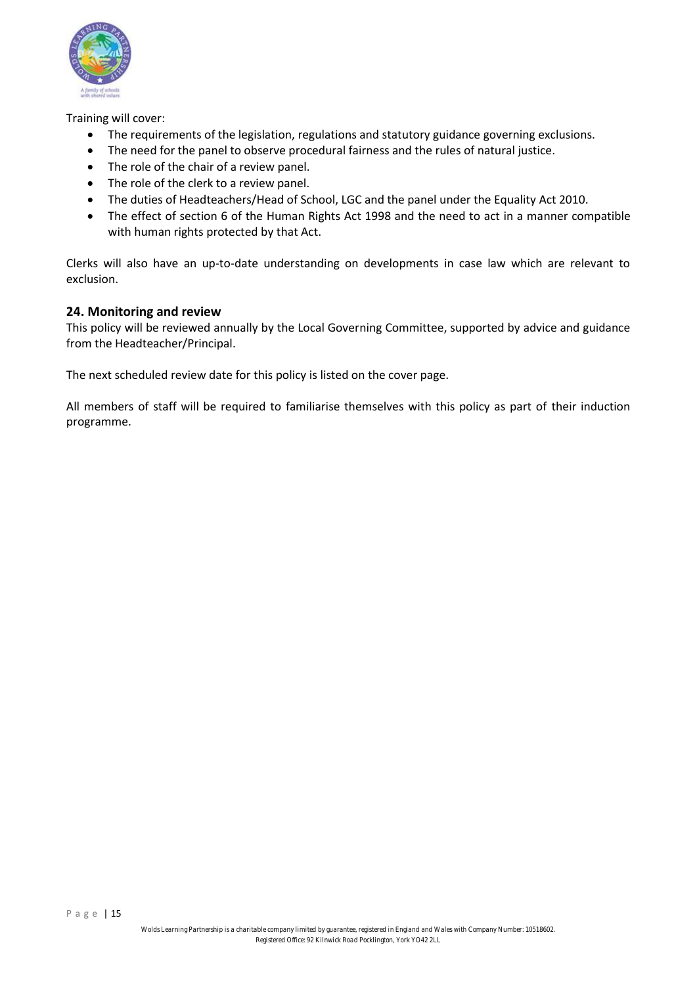

Training will cover:

- The requirements of the legislation, regulations and statutory guidance governing exclusions.
- The need for the panel to observe procedural fairness and the rules of natural justice.
- The role of the chair of a review panel.
- The role of the clerk to a review panel.
- The duties of Headteachers/Head of School, LGC and the panel under the Equality Act 2010.
- The effect of section 6 of the Human Rights Act 1998 and the need to act in a manner compatible with human rights protected by that Act.

Clerks will also have an up-to-date understanding on developments in case law which are relevant to exclusion.

## **24. Monitoring and review**

This policy will be reviewed annually by the Local Governing Committee, supported by advice and guidance from the Headteacher/Principal.

The next scheduled review date for this policy is listed on the cover page.

All members of staff will be required to familiarise themselves with this policy as part of their induction programme.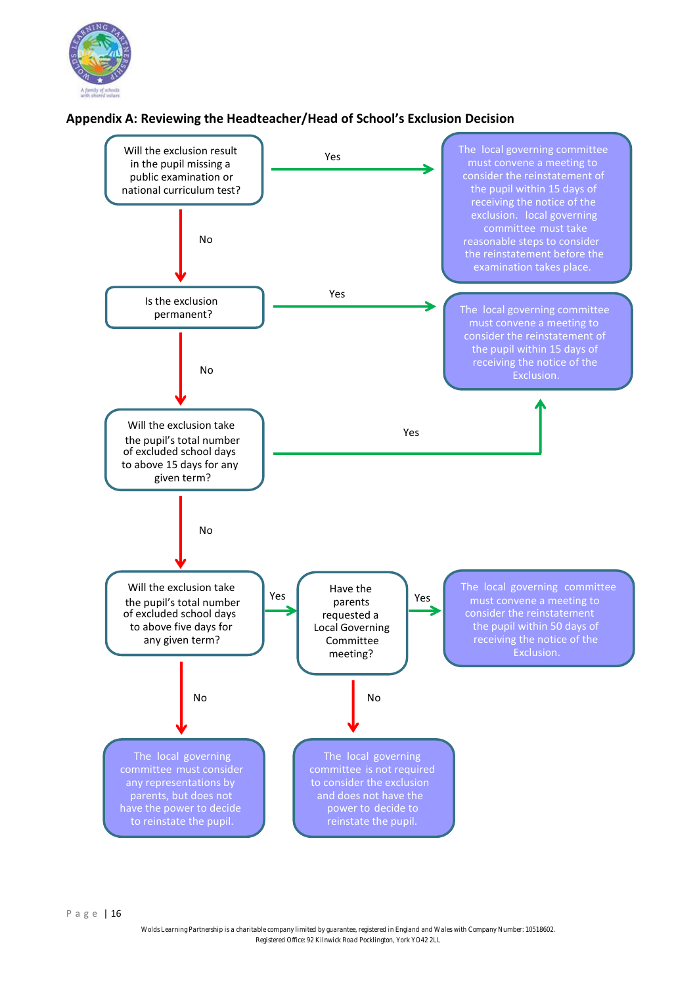

## **Appendix A: Reviewing the Headteacher/Head of School's Exclusion Decision**

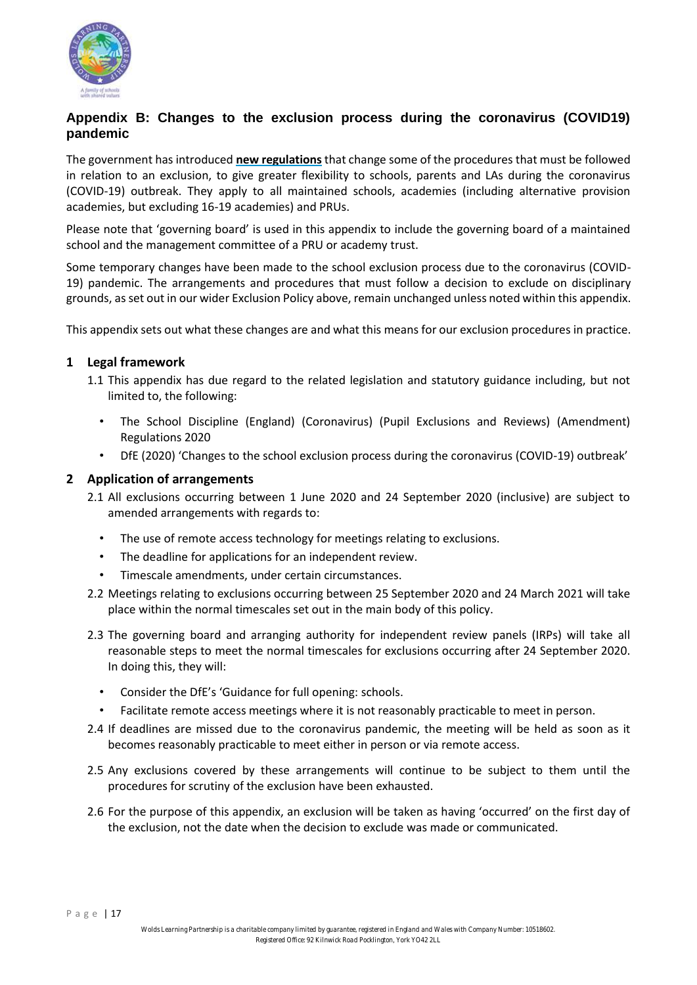

## **Appendix B: Changes to the exclusion process during the coronavirus (COVID19) pandemic**

The government has introduced **[new regulations](http://www.legislation.gov.uk/uksi/2020/543/contents/made)** that change some of the procedures that must be followed in relation to an exclusion, to give greater flexibility to schools, parents and LAs during the coronavirus (COVID-19) outbreak. They apply to all maintained schools, academies (including alternative provision academies, but excluding 16-19 academies) and PRUs.

Please note that 'governing board' is used in this appendix to include the governing board of a maintained school and the management committee of a PRU or academy trust.

Some temporary changes have been made to the school exclusion process due to the coronavirus (COVID-19) pandemic. The arrangements and procedures that must follow a decision to exclude on disciplinary grounds, as set out in our wider Exclusion Policy above, remain unchanged unless noted within this appendix.

This appendix sets out what these changes are and what this means for our exclusion procedures in practice.

#### **1 Legal framework**

- 1.1 This appendix has due regard to the related legislation and statutory guidance including, but not limited to, the following:
	- The School Discipline (England) (Coronavirus) (Pupil Exclusions and Reviews) (Amendment) Regulations 2020
	- DfE (2020) 'Changes to the school exclusion process during the coronavirus (COVID-19) outbreak'

#### **2 Application of arrangements**

- 2.1 All exclusions occurring between 1 June 2020 and 24 September 2020 (inclusive) are subject to amended arrangements with regards to:
	- The use of remote access technology for meetings relating to exclusions.
	- The deadline for applications for an independent review.
	- Timescale amendments, under certain circumstances.
- 2.2 Meetings relating to exclusions occurring between 25 September 2020 and 24 March 2021 will take place within the normal timescales set out in the main body of this policy.
- 2.3 The governing board and arranging authority for independent review panels (IRPs) will take all reasonable steps to meet the normal timescales for exclusions occurring after 24 September 2020. In doing this, they will:
	- Consider the DfE's 'Guidance for full opening: schools.
	- Facilitate remote access meetings where it is not reasonably practicable to meet in person.
- 2.4 If deadlines are missed due to the coronavirus pandemic, the meeting will be held as soon as it becomes reasonably practicable to meet either in person or via remote access.
- 2.5 Any exclusions covered by these arrangements will continue to be subject to them until the procedures for scrutiny of the exclusion have been exhausted.
- 2.6 For the purpose of this appendix, an exclusion will be taken as having 'occurred' on the first day of the exclusion, not the date when the decision to exclude was made or communicated.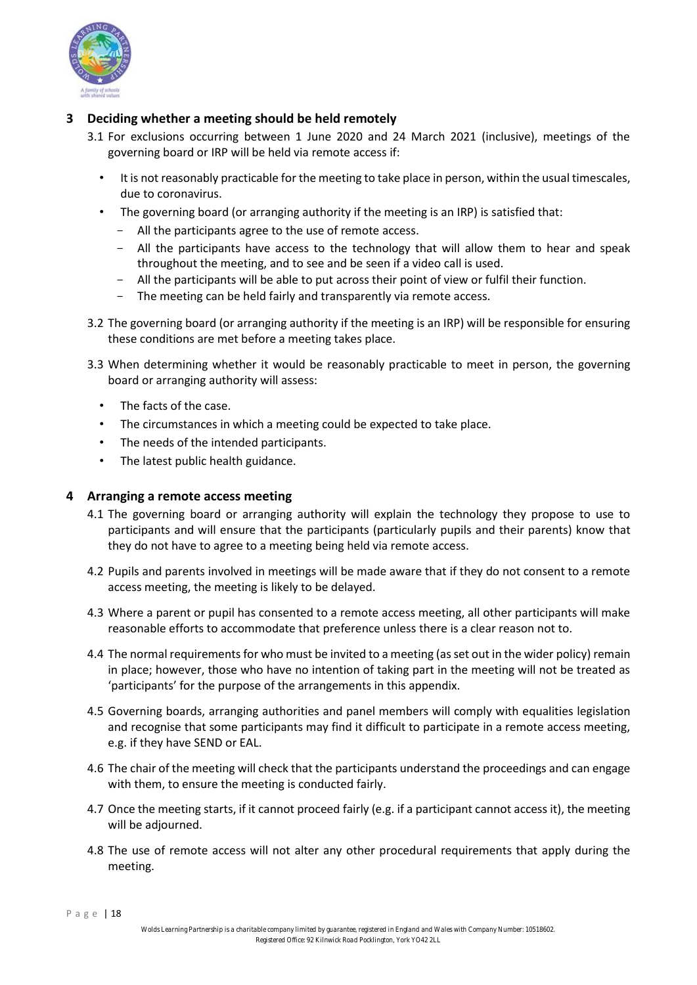

## **3 Deciding whether a meeting should be held remotely**

- 3.1 For exclusions occurring between 1 June 2020 and 24 March 2021 (inclusive), meetings of the governing board or IRP will be held via remote access if:
	- It is not reasonably practicable for the meeting to take place in person, within the usual timescales, due to coronavirus.
	- The governing board (or arranging authority if the meeting is an IRP) is satisfied that:
		- All the participants agree to the use of remote access.
		- All the participants have access to the technology that will allow them to hear and speak throughout the meeting, and to see and be seen if a video call is used.
		- All the participants will be able to put across their point of view or fulfil their function.
		- The meeting can be held fairly and transparently via remote access.
- 3.2 The governing board (or arranging authority if the meeting is an IRP) will be responsible for ensuring these conditions are met before a meeting takes place.
- 3.3 When determining whether it would be reasonably practicable to meet in person, the governing board or arranging authority will assess:
	- The facts of the case.
	- The circumstances in which a meeting could be expected to take place.
	- The needs of the intended participants.
	- The latest public health guidance.

#### **4 Arranging a remote access meeting**

- 4.1 The governing board or arranging authority will explain the technology they propose to use to participants and will ensure that the participants (particularly pupils and their parents) know that they do not have to agree to a meeting being held via remote access.
- 4.2 Pupils and parents involved in meetings will be made aware that if they do not consent to a remote access meeting, the meeting is likely to be delayed.
- 4.3 Where a parent or pupil has consented to a remote access meeting, all other participants will make reasonable efforts to accommodate that preference unless there is a clear reason not to.
- 4.4 The normal requirements for who must be invited to a meeting (as set out in the wider policy) remain in place; however, those who have no intention of taking part in the meeting will not be treated as 'participants' for the purpose of the arrangements in this appendix.
- 4.5 Governing boards, arranging authorities and panel members will comply with equalities legislation and recognise that some participants may find it difficult to participate in a remote access meeting, e.g. if they have SEND or EAL.
- 4.6 The chair of the meeting will check that the participants understand the proceedings and can engage with them, to ensure the meeting is conducted fairly.
- 4.7 Once the meeting starts, if it cannot proceed fairly (e.g. if a participant cannot access it), the meeting will be adjourned.
- 4.8 The use of remote access will not alter any other procedural requirements that apply during the meeting.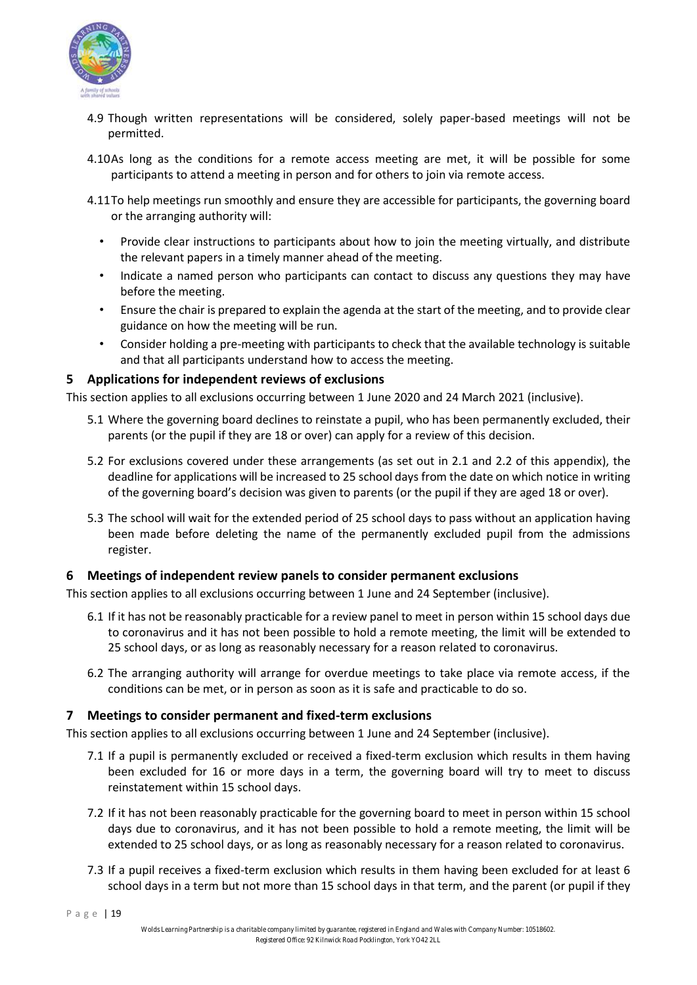

- 4.9 Though written representations will be considered, solely paper-based meetings will not be permitted.
- 4.10As long as the conditions for a remote access meeting are met, it will be possible for some participants to attend a meeting in person and for others to join via remote access.
- 4.11To help meetings run smoothly and ensure they are accessible for participants, the governing board or the arranging authority will:
	- Provide clear instructions to participants about how to join the meeting virtually, and distribute the relevant papers in a timely manner ahead of the meeting.
	- Indicate a named person who participants can contact to discuss any questions they may have before the meeting.
	- Ensure the chair is prepared to explain the agenda at the start of the meeting, and to provide clear guidance on how the meeting will be run.
	- Consider holding a pre-meeting with participants to check that the available technology is suitable and that all participants understand how to access the meeting.

## **5 Applications for independent reviews of exclusions**

This section applies to all exclusions occurring between 1 June 2020 and 24 March 2021 (inclusive).

- 5.1 Where the governing board declines to reinstate a pupil, who has been permanently excluded, their parents (or the pupil if they are 18 or over) can apply for a review of this decision.
- 5.2 For exclusions covered under these arrangements (as set out in 2.1 and 2.2 of this appendix), the deadline for applications will be increased to 25 school days from the date on which notice in writing of the governing board's decision was given to parents (or the pupil if they are aged 18 or over).
- 5.3 The school will wait for the extended period of 25 school days to pass without an application having been made before deleting the name of the permanently excluded pupil from the admissions register.

## **6 Meetings of independent review panels to consider permanent exclusions**

This section applies to all exclusions occurring between 1 June and 24 September (inclusive).

- 6.1 If it has not be reasonably practicable for a review panel to meet in person within 15 school days due to coronavirus and it has not been possible to hold a remote meeting, the limit will be extended to 25 school days, or as long as reasonably necessary for a reason related to coronavirus.
- 6.2 The arranging authority will arrange for overdue meetings to take place via remote access, if the conditions can be met, or in person as soon as it is safe and practicable to do so.

## **7 Meetings to consider permanent and fixed-term exclusions**

This section applies to all exclusions occurring between 1 June and 24 September (inclusive).

- 7.1 If a pupil is permanently excluded or received a fixed-term exclusion which results in them having been excluded for 16 or more days in a term, the governing board will try to meet to discuss reinstatement within 15 school days.
- 7.2 If it has not been reasonably practicable for the governing board to meet in person within 15 school days due to coronavirus, and it has not been possible to hold a remote meeting, the limit will be extended to 25 school days, or as long as reasonably necessary for a reason related to coronavirus.
- 7.3 If a pupil receives a fixed-term exclusion which results in them having been excluded for at least 6 school days in a term but not more than 15 school days in that term, and the parent (or pupil if they